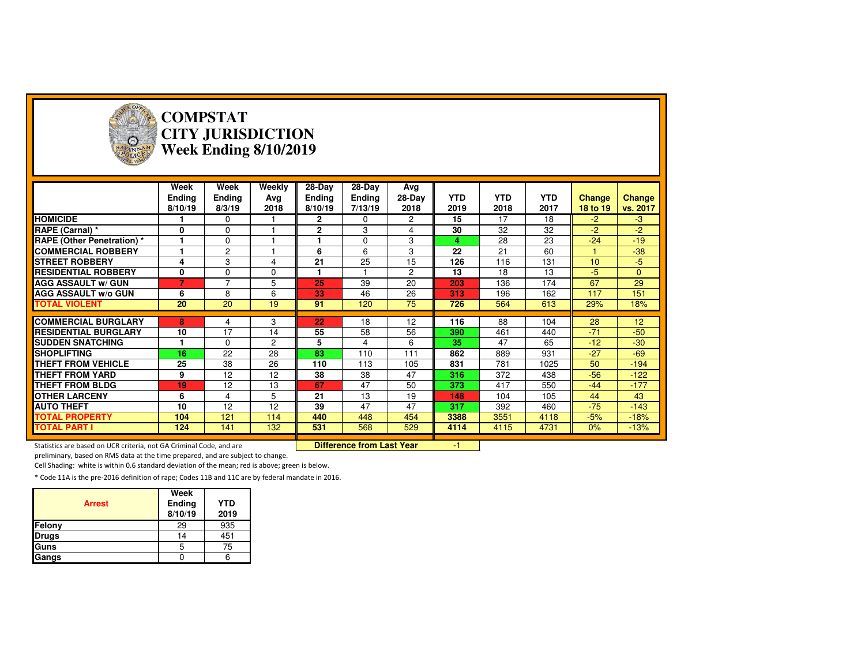

### **COMPSTAT CITY JURISDICTIONWeek Ending 8/10/2019**

|                                   | Week<br><b>Ending</b><br>8/10/19 | Week<br><b>Ending</b><br>8/3/19 | Weekly<br>Ava<br>2018 | 28-Day<br>Ending<br>8/10/19 | 28-Day<br><b>Ending</b><br>7/13/19 | Avg<br>28-Day<br>2018 | <b>YTD</b><br>2019 | <b>YTD</b><br>2018 | <b>YTD</b><br>2017 | Change<br>18 to 19 | <b>Change</b><br>vs. 2017 |
|-----------------------------------|----------------------------------|---------------------------------|-----------------------|-----------------------------|------------------------------------|-----------------------|--------------------|--------------------|--------------------|--------------------|---------------------------|
| <b>HOMICIDE</b>                   |                                  | $\mathbf 0$                     |                       | $\mathbf{2}$                | $\mathbf 0$                        | $\overline{2}$        | 15                 | 17                 | 18                 | $-2$               | $-3$                      |
| RAPE (Carnal) *                   | 0                                | $\mathbf 0$                     |                       | 2                           | 3                                  | 4                     | 30                 | 32                 | 32                 | $-2$               | $-2$                      |
| <b>RAPE (Other Penetration)</b> * |                                  | $\mathbf 0$                     |                       | 1                           | $\Omega$                           | 3                     | 4                  | 28                 | 23                 | $-24$              | $-19$                     |
| <b>COMMERCIAL ROBBERY</b>         |                                  | 2                               |                       | 6                           | 6                                  | 3                     | 22                 | 21                 | 60                 |                    | $-38$                     |
| <b>STREET ROBBERY</b>             | 4                                | 3                               | 4                     | 21                          | 25                                 | 15                    | 126                | 116                | 131                | 10                 | $-5$                      |
| <b>RESIDENTIAL ROBBERY</b>        | 0                                | $\Omega$                        | $\Omega$              |                             |                                    | $\overline{2}$        | 13                 | 18                 | 13                 | $-5$               | $\Omega$                  |
| <b>AGG ASSAULT w/ GUN</b>         | 7                                | $\overline{7}$                  | 5                     | 25                          | 39                                 | 20                    | 203                | 136                | 174                | 67                 | 29                        |
| <b>AGG ASSAULT W/o GUN</b>        | 6                                | 8                               | 6                     | 33                          | 46                                 | 26                    | 313                | 196                | 162                | 117                | 151                       |
| <b>TOTAL VIOLENT</b>              | 20                               | 20                              | 19                    | 91                          | 120                                | 75                    | 726                | 564                | 613                | 29%                | 18%                       |
|                                   |                                  |                                 |                       |                             |                                    |                       |                    |                    |                    |                    |                           |
| <b>COMMERCIAL BURGLARY</b>        | 8                                | 4                               | 3                     | 22                          | 18                                 | 12                    | 116                | 88                 | 104                | 28                 | 12                        |
| <b>RESIDENTIAL BURGLARY</b>       | 10                               | 17                              | 14                    | 55                          | 58                                 | 56                    | 390                | 461                | 440                | $-71$              | $-50$                     |
|                                   |                                  |                                 |                       | 5                           | 4                                  | 6                     | 35                 | 47                 | 65                 | $-12$              | $-30$                     |
| <b>SUDDEN SNATCHING</b>           |                                  | $\Omega$                        | $\overline{2}$        |                             |                                    |                       |                    |                    |                    |                    |                           |
| <b>ISHOPLIFTING</b>               | 16                               | 22                              | 28                    | 83                          | 110                                | 111                   | 862                | 889                | 931                | $-27$              | $-69$                     |
| <b>THEFT FROM VEHICLE</b>         | 25                               | 38                              | 26                    | 110                         | 113                                | 105                   | 831                | 781                | 1025               | 50                 | $-194$                    |
| <b>THEFT FROM YARD</b>            | 9                                | 12                              | 12                    | 38                          | 38                                 | 47                    | 316                | 372                | 438                | $-56$              | $-122$                    |
| <b>THEFT FROM BLDG</b>            | 19                               | 12                              | 13                    | 67                          | 47                                 | 50                    | 373                | 417                | 550                | $-44$              | $-177$                    |
| <b>OTHER LARCENY</b>              | 6                                | 4                               | 5                     | 21                          | 13                                 | 19                    | 148                | 104                | 105                | 44                 | 43                        |
| <b>AUTO THEFT</b>                 | 10                               | 12                              | 12                    | 39                          | 47                                 | 47                    | 317                | 392                | 460                | $-75$              | $-143$                    |
| <b>TOTAL PROPERTY</b>             | 104                              | 121                             | 114                   | 440                         | 448                                | 454                   | 3388               | 3551               | 4118               | $-5%$              | $-18%$                    |
| <b>TOTAL PART I</b>               | 124                              | 141                             | 132                   | 531                         | 568                                | 529                   | 4114               | 4115               | 4731               | 0%                 | $-13%$                    |

Statistics are based on UCR criteria, not GA Criminal Code, and are **Difference from Last Year** 

preliminary, based on RMS data at the time prepared, and are subject to change.

Cell Shading: white is within 0.6 standard deviation of the mean; red is above; green is below.

| <b>Arrest</b> | Week<br>Ending<br>8/10/19 | <b>YTD</b><br>2019 |
|---------------|---------------------------|--------------------|
| Felony        | 29                        | 935                |
| <b>Drugs</b>  | 14                        | 451                |
| Guns          |                           | 75                 |
| Gangs         |                           |                    |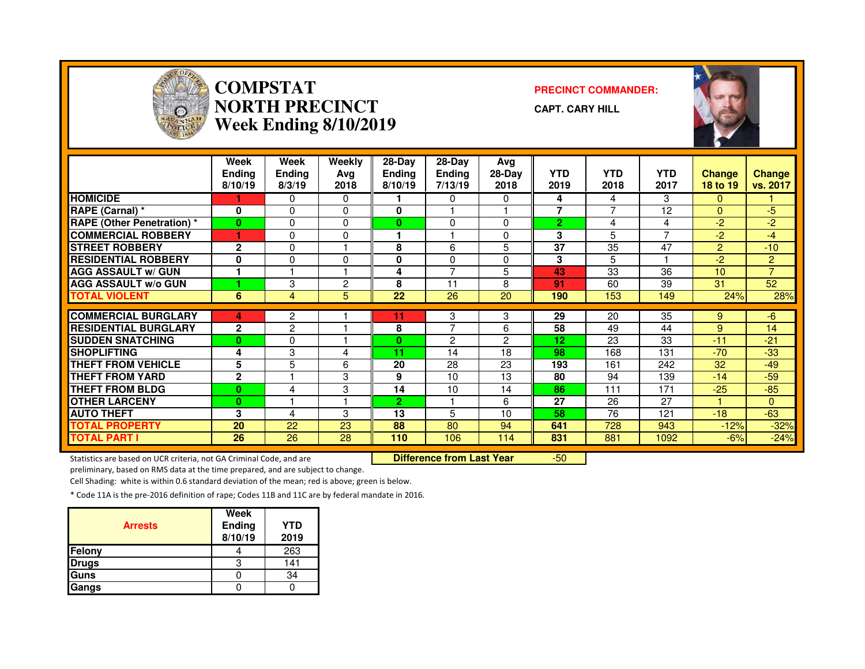

### **COMPSTAT PRECINCT COMMANDER: NORTH PRECINCTWeek Ending 8/10/2019**

**CAPT. CARY HILL**



|                                   | Week<br><b>Endina</b><br>8/10/19 | Week<br><b>Endina</b><br>8/3/19 | Weekly<br>Ava<br>2018 | $28-Dav$<br>Endina<br>8/10/19 | $28-Dav$<br><b>Endina</b><br>7/13/19 | Avg<br>28-Day<br>2018 | <b>YTD</b><br>2019 | <b>YTD</b><br>2018 | <b>YTD</b><br>2017 | <b>Change</b><br>18 to 19 | <b>Change</b><br>vs. 2017 |
|-----------------------------------|----------------------------------|---------------------------------|-----------------------|-------------------------------|--------------------------------------|-----------------------|--------------------|--------------------|--------------------|---------------------------|---------------------------|
| <b>HOMICIDE</b>                   |                                  | 0                               | $\Omega$              |                               | 0                                    | 0                     | 4                  | 4                  | 3                  | $\mathbf{0}$              |                           |
| RAPE (Carnal) *                   | 0                                | 0                               | $\Omega$              | 0                             |                                      |                       | 7                  | 7                  | 12                 | $\Omega$                  | -5                        |
| <b>RAPE (Other Penetration) *</b> | $\bf{0}$                         | 0                               | $\Omega$              | 0                             | $\Omega$                             | 0                     | 2.                 | 4                  | 4                  | $-2$                      | $-2$                      |
| <b>COMMERCIAL ROBBERY</b>         |                                  | 0                               | $\Omega$              |                               |                                      | O                     | 3                  | 5                  | $\overline{ }$     | -2                        | $-4$                      |
| <b>STREET ROBBERY</b>             | $\mathbf{2}$                     | 0                               |                       | 8                             | 6                                    | 5                     | 37                 | 35                 | 47                 | 2                         | $-10$                     |
| <b>RESIDENTIAL ROBBERY</b>        | 0                                | 0                               | $\Omega$              | 0                             | $\Omega$                             | 0                     | 3                  | 5                  |                    | -2                        | $\overline{2}$            |
| <b>AGG ASSAULT w/ GUN</b>         | 1                                |                                 |                       | 4                             | $\overline{ }$                       | 5                     | 43                 | 33                 | 36                 | 10                        | $\overline{7}$            |
| <b>AGG ASSAULT w/o GUN</b>        |                                  | 3                               | $\overline{2}$        | 8                             | 11                                   | 8                     | 91                 | 60                 | 39                 | 31                        | 52                        |
| <b>TOTAL VIOLENT</b>              | 6                                | 4                               | 5                     | 22                            | 26                                   | 20                    | 190                | 153                | 149                | 24%                       | 28%                       |
|                                   |                                  |                                 |                       |                               |                                      |                       |                    |                    |                    |                           |                           |
| <b>COMMERCIAL BURGLARY</b>        | 4                                | 2                               |                       | 11                            | 3                                    | 3                     | 29                 | 20                 | 35                 | 9                         | -6                        |
| <b>RESIDENTIAL BURGLARY</b>       | $\mathbf{2}$                     | $\overline{2}$                  |                       | 8                             | $\overline{ }$                       | 6                     | 58                 | 49                 | 44                 | 9                         | 14                        |
| <b>SUDDEN SNATCHING</b>           | $\mathbf{0}$                     | 0                               |                       | $\bf{0}$                      | $\overline{2}$                       | 2                     | 12                 | 23                 | 33                 | $-11$                     | $-21$                     |
| <b>SHOPLIFTING</b>                | 4                                | 3                               | 4                     | 11                            | 14                                   | 18                    | 98                 | 168                | 131                | $-70$                     | -33                       |
| <b>THEFT FROM VEHICLE</b>         | 5                                | 5                               | 6                     | 20                            | 28                                   | 23                    | 193                | 161                | 242                | 32                        | $-49$                     |
| <b>THEFT FROM YARD</b>            | $\mathbf{2}$                     |                                 | 3                     | 9                             | 10                                   | 13                    | 80                 | 94                 | 139                | $-14$                     | $-59$                     |
| <b>THEFT FROM BLDG</b>            | 0                                | 4                               | 3                     | 14                            | 10                                   | 14                    | 86                 | 111                | 171                | $-25$                     | $-85$                     |
| <b>IOTHER LARCENY</b>             | 0                                |                                 |                       | $\overline{2}$                |                                      | 6                     | 27                 | 26                 | 27                 |                           | $\Omega$                  |
| <b>AUTO THEFT</b>                 | 3                                | 4                               | 3                     | 13                            | 5                                    | 10                    | 58                 | 76                 | 121                | $-18$                     | $-63$                     |
| <b>TOTAL PROPERTY</b>             | 20                               | 22                              | 23                    | 88                            | 80                                   | 94                    | 641                | 728                | 943                | $-12%$                    | $-32%$                    |
| <b>TOTAL PART I</b>               | 26                               | 26                              | 28                    | 110                           | 106                                  | 114                   | 831                | 881                | 1092               | $-6%$                     | $-24%$                    |

Statistics are based on UCR criteria, not GA Criminal Code, and are **Difference from Last Year** 

-50

preliminary, based on RMS data at the time prepared, and are subject to change.

Cell Shading: white is within 0.6 standard deviation of the mean; red is above; green is below.

| <b>Arrests</b> | Week<br>Ending<br>8/10/19 | YTD<br>2019 |
|----------------|---------------------------|-------------|
| Felony         |                           | 263         |
| <b>Drugs</b>   |                           | 141         |
| Guns           |                           | 34          |
| Gangs          |                           |             |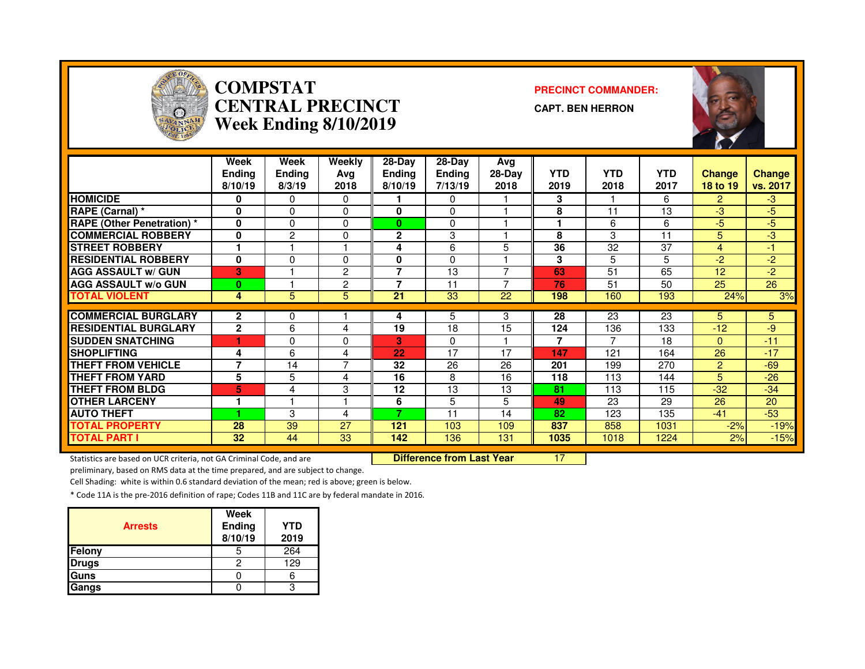

## **COMPSTAT PRECINCT COMMANDER: CENTRAL PRECINCTWeek Ending 8/10/2019**

**CAPT. BEN HERRON**



|                                   | Week<br><b>Ending</b><br>8/10/19 | Week<br>Ending<br>8/3/19 | Weekly<br>Ava<br>2018 | 28-Day<br>Endina<br>8/10/19 | 28-Day<br><b>Ending</b><br>7/13/19 | Avg<br>28-Day<br>2018 | <b>YTD</b><br>2019 | <b>YTD</b><br>2018 | <b>YTD</b><br>2017 | <b>Change</b><br>18 to 19 | <b>Change</b><br>vs. 2017 |
|-----------------------------------|----------------------------------|--------------------------|-----------------------|-----------------------------|------------------------------------|-----------------------|--------------------|--------------------|--------------------|---------------------------|---------------------------|
| <b>HOMICIDE</b>                   | 0                                | 0                        | $\Omega$              |                             | 0                                  |                       | 3                  |                    | 6                  | $\overline{2}$            | $-3$                      |
| RAPE (Carnal) *                   | 0                                | $\Omega$                 | $\Omega$              | 0                           | $\Omega$                           |                       | 8                  | 11                 | 13                 | -3                        | $-5$                      |
| <b>RAPE (Other Penetration)</b> * | 0                                | 0                        | $\Omega$              | $\bf{0}$                    | $\Omega$                           |                       | ٠                  | 6                  | 6                  | -5                        | $-5$                      |
| <b>COMMERCIAL ROBBERY</b>         | 0                                | $\overline{c}$           | 0                     | $\mathbf{2}$                | 3                                  |                       | 8                  | 3                  | 11                 | 5                         | $-3$                      |
| <b>STREET ROBBERY</b>             |                                  |                          |                       | 4                           | 6                                  | 5                     | 36                 | 32                 | 37                 | 4                         | $-1$                      |
| <b>RESIDENTIAL ROBBERY</b>        | $\bf{0}$                         | 0                        | 0                     | 0                           | $\Omega$                           |                       | 3                  | 5                  | 5                  | $-2$                      | $-2$                      |
| <b>AGG ASSAULT w/ GUN</b>         | 3                                |                          | $\overline{2}$        | $\overline{\phantom{a}}$    | 13                                 |                       | 63                 | 51                 | 65                 | 12                        | $-2$                      |
| <b>AGG ASSAULT w/o GUN</b>        | $\bf{0}$                         |                          | $\overline{2}$        | 7                           | 11                                 |                       | 76                 | 51                 | 50                 | 25                        | 26                        |
| <b>TOTAL VIOLENT</b>              | 4                                | 5                        | 5                     | 21                          | 33                                 | 22                    | 198                | 160                | 193                | 24%                       | 3%                        |
| <b>COMMERCIAL BURGLARY</b>        | $\mathbf{2}$                     |                          |                       |                             | 5                                  | 3                     | 28                 | 23                 | 23                 | 5                         | 5.                        |
|                                   |                                  | 0                        |                       | 4                           |                                    |                       |                    |                    |                    |                           |                           |
| <b>RESIDENTIAL BURGLARY</b>       | $\mathbf{2}$                     | 6                        | 4                     | 19                          | 18                                 | 15                    | 124                | 136                | 133                | $-12$                     | -9                        |
| <b>SUDDEN SNATCHING</b>           |                                  | 0                        | $\Omega$              | 3                           | $\Omega$                           |                       | 7                  |                    | 18                 | $\Omega$                  | $-11$                     |
| <b>SHOPLIFTING</b>                | 4                                | 6                        | 4                     | 22                          | 17                                 | 17                    | 147                | 121                | 164                | 26                        | $-17$                     |
| <b>THEFT FROM VEHICLE</b>         | 7                                | 14                       | $\overline{7}$        | 32                          | 26                                 | 26                    | 201                | 199                | 270                | $\overline{2}$            | $-69$                     |
| <b>THEFT FROM YARD</b>            | 5                                | 5                        | 4                     | 16                          | 8                                  | 16                    | 118                | 113                | 144                | 5                         | $-26$                     |
| <b>THEFT FROM BLDG</b>            | 5                                | 4                        | 3                     | 12                          | 13                                 | 13                    | 81                 | 113                | 115                | $-32$                     | $-34$                     |
| <b>OTHER LARCENY</b>              | 1                                |                          |                       | 6                           | 5                                  | 5                     | 49                 | 23                 | 29                 | 26                        | 20                        |
| <b>AUTO THEFT</b>                 |                                  | 3                        | 4                     | 7                           | 11                                 | 14                    | 82                 | 123                | 135                | $-41$                     | $-53$                     |
| <b>TOTAL PROPERTY</b>             | 28                               | 39                       | 27                    | 121                         | 103                                | 109                   | 837                | 858                | 1031               | $-2%$                     | $-19%$                    |
| <b>TOTAL PART I</b>               | 32                               | 44                       | 33                    | 142                         | 136                                | 131                   | 1035               | 1018               | 1224               | 2%                        | $-15%$                    |

Statistics are based on UCR criteria, not GA Criminal Code, and are **Difference from Last Year** 

<sup>17</sup>

preliminary, based on RMS data at the time prepared, and are subject to change.

Cell Shading: white is within 0.6 standard deviation of the mean; red is above; green is below.

| <b>Arrests</b> | Week<br><b>Ending</b><br>8/10/19 | <b>YTD</b><br>2019 |
|----------------|----------------------------------|--------------------|
| Felony         |                                  | 264                |
| <b>Drugs</b>   |                                  | 129                |
| Guns           |                                  |                    |
| Gangs          |                                  | ว                  |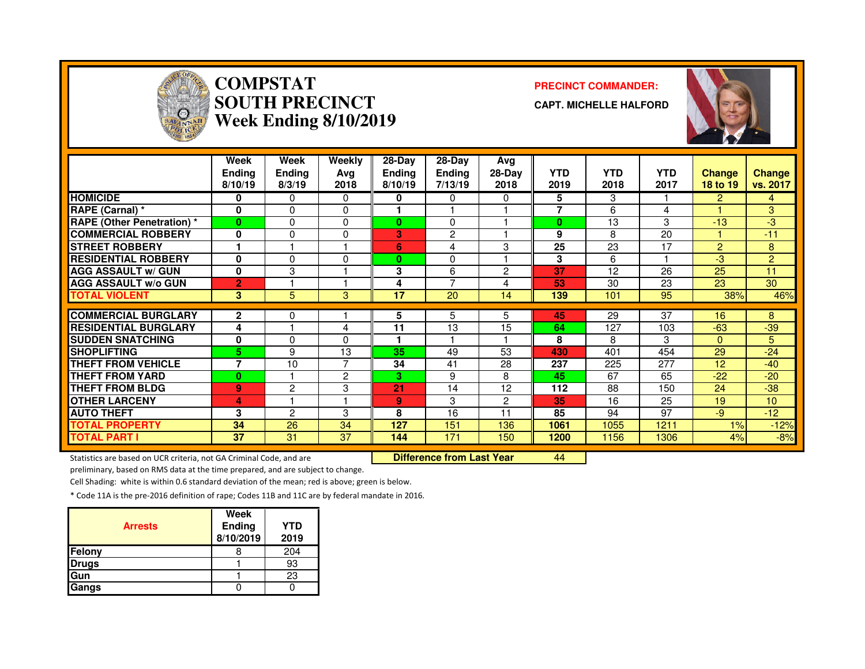

# **COMPSTAT PRECINCT COMMANDER: SOUTH PRECINCTWeek Ending 8/10/2019**

**CAPT. MICHELLE HALFORD**



|                                   | Week<br><b>Ending</b><br>8/10/19 | Week<br><b>Ending</b><br>8/3/19 | Weekly<br>Avg<br>2018 | 28-Day<br>Endina<br>8/10/19 | $28-Dav$<br><b>Ending</b><br>7/13/19 | Avg<br>$28-Dav$<br>2018 | <b>YTD</b><br>2019 | <b>YTD</b><br>2018 | <b>YTD</b><br>2017 | <b>Change</b><br>18 to 19 | Change<br>vs. 2017 |
|-----------------------------------|----------------------------------|---------------------------------|-----------------------|-----------------------------|--------------------------------------|-------------------------|--------------------|--------------------|--------------------|---------------------------|--------------------|
| <b>HOMICIDE</b>                   | 0                                | 0                               | 0                     | 0                           | 0                                    | $\Omega$                | 5                  | 3                  |                    | 2.                        | 4                  |
| RAPE (Carnal) *                   | $\mathbf{0}$                     | 0                               | $\Omega$              |                             |                                      |                         | 7                  | 6                  | 4                  |                           | 3                  |
| <b>RAPE (Other Penetration) *</b> | $\bf{0}$                         | 0                               | $\Omega$              | 0                           | $\Omega$                             |                         | $\bf{0}$           | 13                 | 3                  | $-13$                     | -3                 |
| <b>COMMERCIAL ROBBERY</b>         | $\bf{0}$                         | $\mathbf{0}$                    | $\Omega$              | 3                           | $\overline{2}$                       |                         | 9                  | 8                  | 20                 |                           | $-11$              |
| <b>ISTREET ROBBERY</b>            |                                  |                                 |                       | 6                           | 4                                    | 3                       | 25                 | 23                 | 17                 | 2                         | 8                  |
| <b>RESIDENTIAL ROBBERY</b>        | 0                                | 0                               | $\Omega$              | 0                           | 0                                    |                         | 3                  | 6                  |                    | $-3$                      | $\overline{2}$     |
| <b>AGG ASSAULT w/ GUN</b>         | $\mathbf{0}$                     | 3                               |                       | 3                           | 6                                    | 2                       | 37                 | 12                 | 26                 | 25                        | 11                 |
| <b>AGG ASSAULT w/o GUN</b>        | $\overline{2}$                   |                                 |                       | 4                           | 7                                    | 4                       | 53                 | 30                 | 23                 | 23                        | 30                 |
| <b>TOTAL VIOLENT</b>              | 3                                | 5                               | 3                     | 17                          | 20                                   | 14                      | 139                | 101                | 95                 | 38%                       | 46%                |
| <b>COMMERCIAL BURGLARY</b>        | $\overline{2}$                   | 0                               |                       | 5                           | 5                                    | 5                       | 45                 | 29                 | 37                 | 16                        | 8                  |
| <b>RESIDENTIAL BURGLARY</b>       |                                  |                                 |                       | 11                          | 13                                   |                         | 64                 |                    |                    | $-63$                     |                    |
|                                   | 4                                |                                 | 4                     |                             |                                      | 15                      |                    | 127                | 103                |                           | $-39$              |
| <b>ISUDDEN SNATCHING</b>          | $\mathbf{0}$                     | $\Omega$                        | $\Omega$              |                             |                                      |                         | 8                  | 8                  | 3                  | $\Omega$                  | 5                  |
| <b>ISHOPLIFTING</b>               | 5                                | 9                               | 13                    | 35                          | 49                                   | 53                      | 430                | 401                | 454                | 29                        | $-24$              |
| <b>THEFT FROM VEHICLE</b>         | $\overline{ }$                   | 10                              | 7                     | 34                          | 41                                   | 28                      | 237                | 225                | 277                | 12                        | $-40$              |
| <b>THEFT FROM YARD</b>            | $\bf{0}$                         |                                 | $\overline{2}$        | 3                           | 9                                    | 8                       | 45                 | 67                 | 65                 | $-22$                     | $-20$              |
| <b>THEFT FROM BLDG</b>            | 9                                | 2                               | 3                     | 21                          | 14                                   | 12                      | 112                | 88                 | 150                | 24                        | $-38$              |
| <b>OTHER LARCENY</b>              | $\overline{a}$                   |                                 | -1                    | 9                           | 3                                    | 2                       | 35                 | 16                 | 25                 | 19                        | 10 <sup>1</sup>    |
| <b>AUTO THEFT</b>                 | 3                                | $\overline{c}$                  | 3                     | 8                           | 16                                   | 11                      | 85                 | 94                 | 97                 | $-9$                      | $-12$              |
| <b>TOTAL PROPERTY</b>             | 34                               | 26                              | 34                    | 127                         | 151                                  | 136                     | 1061               | 1055               | 1211               | 1%                        | $-12%$             |
| <b>TOTAL PART I</b>               | 37                               | 31                              | 37                    | 144                         | 171                                  | 150                     | 1200               | 1156               | 1306               | 4%                        | $-8%$              |

Statistics are based on UCR criteria, not GA Criminal Code, and are **Difference from Last Year** 

<sup>44</sup>

preliminary, based on RMS data at the time prepared, and are subject to change.

Cell Shading: white is within 0.6 standard deviation of the mean; red is above; green is below.

| <b>Arrests</b> | Week<br>Ending<br>8/10/2019 | <b>YTD</b><br>2019 |
|----------------|-----------------------------|--------------------|
| Felony         |                             | 204                |
| <b>Drugs</b>   |                             | 93                 |
| Gun            |                             | 23                 |
| Gangs          |                             |                    |